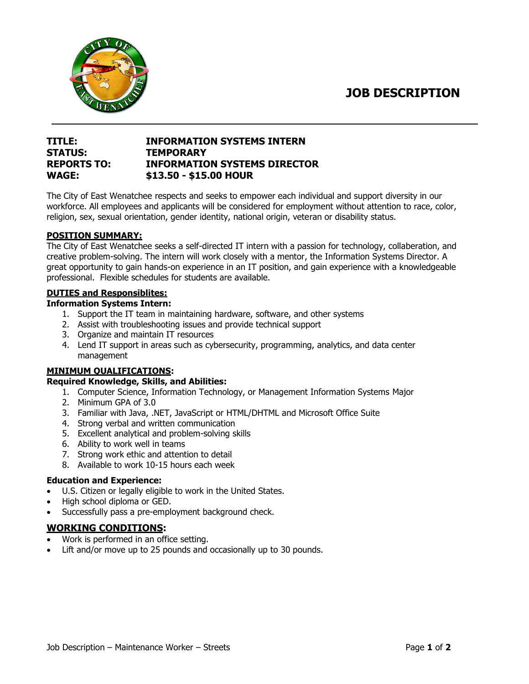**JOB DESCRIPTION**



# **TITLE: INFORMATION SYSTEMS INTERN STATUS: TEMPORARY REPORTS TO: INFORMATION SYSTEMS DIRECTOR WAGE: \$13.50 - \$15.00 HOUR**

The City of East Wenatchee respects and seeks to empower each individual and support diversity in our workforce. All employees and applicants will be considered for employment without attention to race, color, religion, sex, sexual orientation, gender identity, national origin, veteran or disability status.

### **POSITION SUMMARY:**

The City of East Wenatchee seeks a self-directed IT intern with a passion for technology, collaberation, and creative problem-solving. The intern will work closely with a mentor, the Information Systems Director. A great opportunity to gain hands-on experience in an IT position, and gain experience with a knowledgeable professional. Flexible schedules for students are available.

#### **DUTIES and Responsiblites:**

### **Information Systems Intern:**

- 1. Support the IT team in maintaining hardware, software, and other systems
- 2. Assist with troubleshooting issues and provide technical support
- 3. Organize and maintain IT resources
- 4. Lend IT support in areas such as cybersecurity, programming, analytics, and data center management

# **MINIMUM QUALIFICATIONS:**

# **Required Knowledge, Skills, and Abilities:**

- 1. Computer Science, Information Technology, or Management Information Systems Major
- 2. Minimum GPA of 3.0
- 3. Familiar with Java, .NET, JavaScript or HTML/DHTML and Microsoft Office Suite
- 4. Strong verbal and written communication
- 5. Excellent analytical and problem-solving skills
- 6. Ability to work well in teams
- 7. Strong work ethic and attention to detail
- 8. Available to work 10-15 hours each week

#### **Education and Experience:**

- U.S. Citizen or legally eligible to work in the United States.
- High school diploma or GED.
- Successfully pass a pre-employment background check.

# **WORKING CONDITIONS:**

- Work is performed in an office setting.
- Lift and/or move up to 25 pounds and occasionally up to 30 pounds.